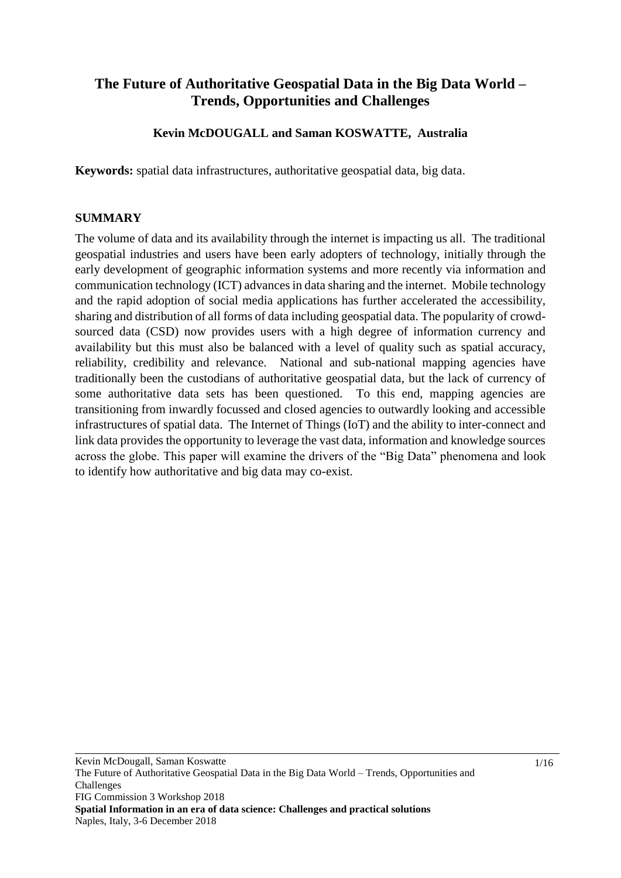## **The Future of Authoritative Geospatial Data in the Big Data World – Trends, Opportunities and Challenges**

## **Kevin McDOUGALL and Saman KOSWATTE, Australia**

**Keywords:** spatial data infrastructures, authoritative geospatial data, big data.

#### **SUMMARY**

The volume of data and its availability through the internet is impacting us all. The traditional geospatial industries and users have been early adopters of technology, initially through the early development of geographic information systems and more recently via information and communication technology (ICT) advances in data sharing and the internet. Mobile technology and the rapid adoption of social media applications has further accelerated the accessibility, sharing and distribution of all forms of data including geospatial data. The popularity of crowdsourced data (CSD) now provides users with a high degree of information currency and availability but this must also be balanced with a level of quality such as spatial accuracy, reliability, credibility and relevance. National and sub-national mapping agencies have traditionally been the custodians of authoritative geospatial data, but the lack of currency of some authoritative data sets has been questioned. To this end, mapping agencies are transitioning from inwardly focussed and closed agencies to outwardly looking and accessible infrastructures of spatial data. The Internet of Things (IoT) and the ability to inter-connect and link data provides the opportunity to leverage the vast data, information and knowledge sources across the globe. This paper will examine the drivers of the "Big Data" phenomena and look to identify how authoritative and big data may co-exist.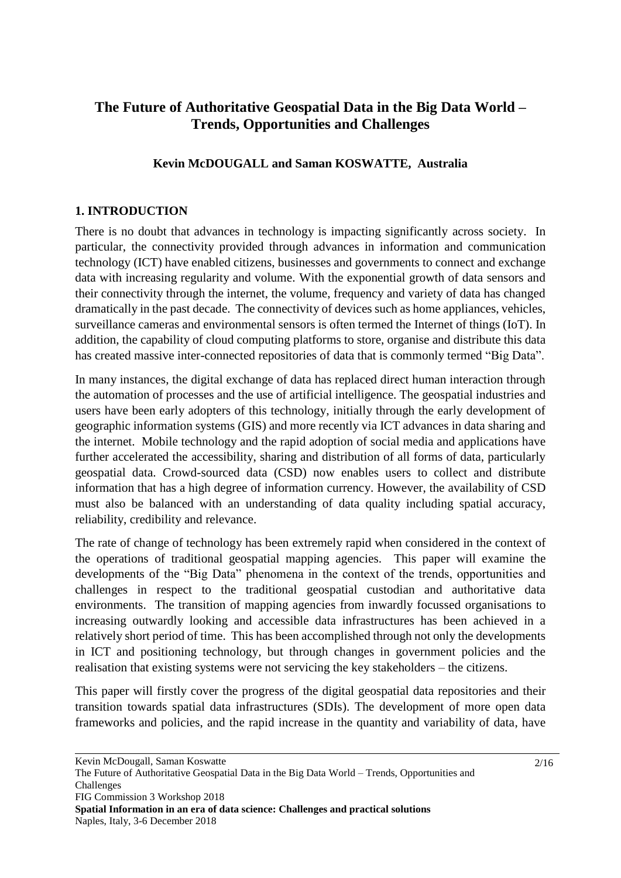## **The Future of Authoritative Geospatial Data in the Big Data World – Trends, Opportunities and Challenges**

## **Kevin McDOUGALL and Saman KOSWATTE, Australia**

## **1. INTRODUCTION**

There is no doubt that advances in technology is impacting significantly across society. In particular, the connectivity provided through advances in information and communication technology (ICT) have enabled citizens, businesses and governments to connect and exchange data with increasing regularity and volume. With the exponential growth of data sensors and their connectivity through the internet, the volume, frequency and variety of data has changed dramatically in the past decade. The connectivity of devices such as home appliances, vehicles, surveillance cameras and environmental sensors is often termed the Internet of things (IoT). In addition, the capability of cloud computing platforms to store, organise and distribute this data has created massive inter-connected repositories of data that is commonly termed "Big Data".

In many instances, the digital exchange of data has replaced direct human interaction through the automation of processes and the use of artificial intelligence. The geospatial industries and users have been early adopters of this technology, initially through the early development of geographic information systems (GIS) and more recently via ICT advances in data sharing and the internet. Mobile technology and the rapid adoption of social media and applications have further accelerated the accessibility, sharing and distribution of all forms of data, particularly geospatial data. Crowd-sourced data (CSD) now enables users to collect and distribute information that has a high degree of information currency. However, the availability of CSD must also be balanced with an understanding of data quality including spatial accuracy, reliability, credibility and relevance.

The rate of change of technology has been extremely rapid when considered in the context of the operations of traditional geospatial mapping agencies. This paper will examine the developments of the "Big Data" phenomena in the context of the trends, opportunities and challenges in respect to the traditional geospatial custodian and authoritative data environments. The transition of mapping agencies from inwardly focussed organisations to increasing outwardly looking and accessible data infrastructures has been achieved in a relatively short period of time. This has been accomplished through not only the developments in ICT and positioning technology, but through changes in government policies and the realisation that existing systems were not servicing the key stakeholders – the citizens.

This paper will firstly cover the progress of the digital geospatial data repositories and their transition towards spatial data infrastructures (SDIs). The development of more open data frameworks and policies, and the rapid increase in the quantity and variability of data, have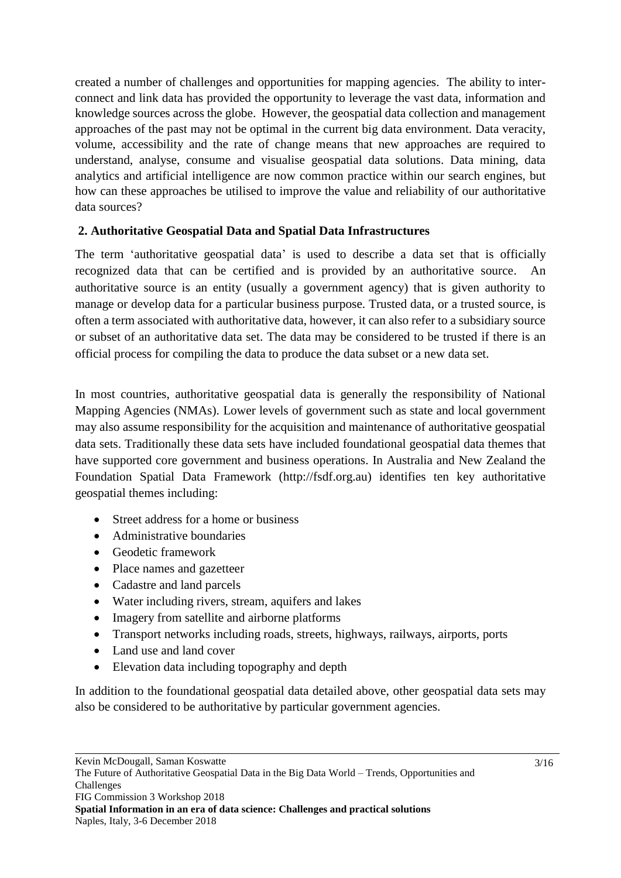created a number of challenges and opportunities for mapping agencies. The ability to interconnect and link data has provided the opportunity to leverage the vast data, information and knowledge sources across the globe. However, the geospatial data collection and management approaches of the past may not be optimal in the current big data environment. Data veracity, volume, accessibility and the rate of change means that new approaches are required to understand, analyse, consume and visualise geospatial data solutions. Data mining, data analytics and artificial intelligence are now common practice within our search engines, but how can these approaches be utilised to improve the value and reliability of our authoritative data sources?

## **2. Authoritative Geospatial Data and Spatial Data Infrastructures**

The term 'authoritative geospatial data' is used to describe a data set that is officially recognized data that can be certified and is provided by an authoritative source. authoritative source is an entity (usually a government agency) that is given authority to manage or develop data for a particular business purpose. Trusted data, or a trusted source, is often a term associated with authoritative data, however, it can also refer to a subsidiary source or subset of an authoritative data set. The data may be considered to be trusted if there is an official process for compiling the data to produce the data subset or a new data set.

In most countries, authoritative geospatial data is generally the responsibility of National Mapping Agencies (NMAs). Lower levels of government such as state and local government may also assume responsibility for the acquisition and maintenance of authoritative geospatial data sets. Traditionally these data sets have included foundational geospatial data themes that have supported core government and business operations. In Australia and New Zealand the Foundation Spatial Data Framework [\(http://fsdf.org.au\)](http://fsdf.org.au/) identifies ten key authoritative geospatial themes including:

- Street address for a home or business
- Administrative boundaries
- Geodetic framework
- Place names and gazetteer
- Cadastre and land parcels
- Water including rivers, stream, aquifers and lakes
- Imagery from satellite and airborne platforms
- Transport networks including roads, streets, highways, railways, airports, ports
- Land use and land cover
- Elevation data including topography and depth

In addition to the foundational geospatial data detailed above, other geospatial data sets may also be considered to be authoritative by particular government agencies.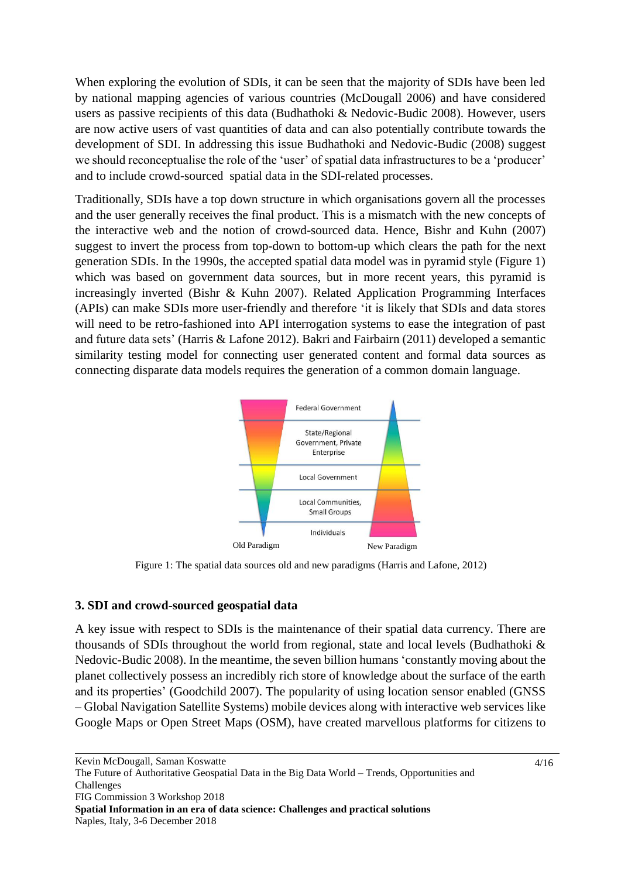When exploring the evolution of SDIs, it can be seen that the majority of SDIs have been led by national mapping agencies of various countries (McDougall 2006) and have considered users as passive recipients of this data (Budhathoki & Nedovic-Budic 2008). However, users are now active users of vast quantities of data and can also potentially contribute towards the development of SDI. In addressing this issue Budhathoki and Nedovic-Budic (2008) suggest we should reconceptualise the role of the 'user' of spatial data infrastructures to be a 'producer' and to include crowd-sourced spatial data in the SDI-related processes.

Traditionally, SDIs have a top down structure in which organisations govern all the processes and the user generally receives the final product. This is a mismatch with the new concepts of the interactive web and the notion of crowd-sourced data. Hence, Bishr and Kuhn (2007) suggest to invert the process from top-down to bottom-up which clears the path for the next generation SDIs. In the 1990s, the accepted spatial data model was in pyramid style (Figure 1) which was based on government data sources, but in more recent years, this pyramid is increasingly inverted (Bishr & Kuhn 2007). Related Application Programming Interfaces (APIs) can make SDIs more user-friendly and therefore 'it is likely that SDIs and data stores will need to be retro-fashioned into API interrogation systems to ease the integration of past and future data sets' (Harris & Lafone 2012). Bakri and Fairbairn (2011) developed a semantic similarity testing model for connecting user generated content and formal data sources as connecting disparate data models requires the generation of a common domain language.



Figure 1: The spatial data sources old and new paradigms (Harris and Lafone, 2012)

## **3. SDI and crowd-sourced geospatial data**

A key issue with respect to SDIs is the maintenance of their spatial data currency. There are thousands of SDIs throughout the world from regional, state and local levels (Budhathoki & Nedovic-Budic 2008). In the meantime, the seven billion humans 'constantly moving about the planet collectively possess an incredibly rich store of knowledge about the surface of the earth and its properties' (Goodchild 2007). The popularity of using location sensor enabled (GNSS – Global Navigation Satellite Systems) mobile devices along with interactive web services like Google Maps or Open Street Maps (OSM), have created marvellous platforms for citizens to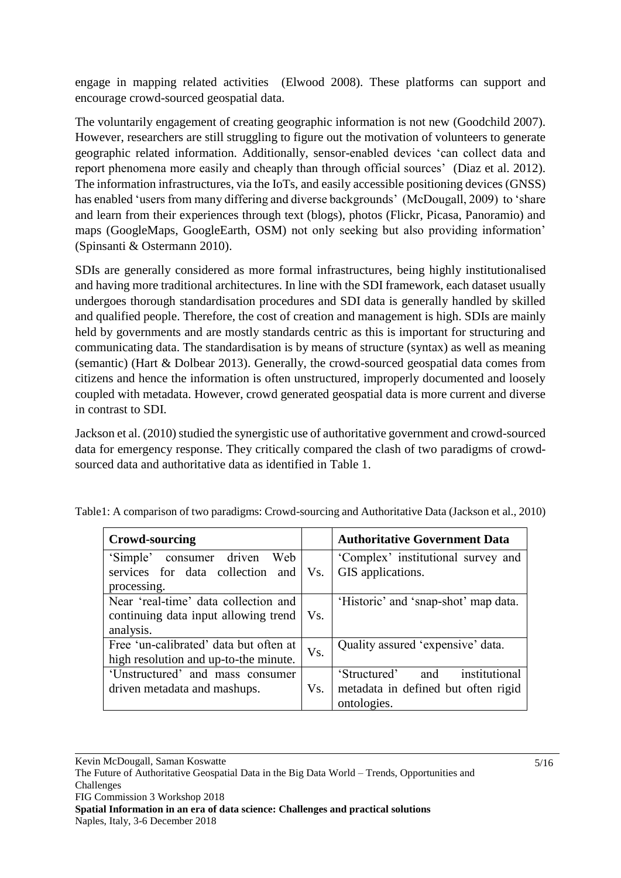engage in mapping related activities (Elwood 2008). These platforms can support and encourage crowd-sourced geospatial data.

The voluntarily engagement of creating geographic information is not new (Goodchild 2007). However, researchers are still struggling to figure out the motivation of volunteers to generate geographic related information. Additionally, sensor-enabled devices 'can collect data and report phenomena more easily and cheaply than through official sources' (Diaz et al. 2012). The information infrastructures, via the IoTs, and easily accessible positioning devices (GNSS) has enabled 'users from many differing and diverse backgrounds' (McDougall, 2009) to 'share and learn from their experiences through text (blogs), photos (Flickr, Picasa, Panoramio) and maps (GoogleMaps, GoogleEarth, OSM) not only seeking but also providing information' (Spinsanti & Ostermann 2010).

SDIs are generally considered as more formal infrastructures, being highly institutionalised and having more traditional architectures. In line with the SDI framework, each dataset usually undergoes thorough standardisation procedures and SDI data is generally handled by skilled and qualified people. Therefore, the cost of creation and management is high. SDIs are mainly held by governments and are mostly standards centric as this is important for structuring and communicating data. The standardisation is by means of structure (syntax) as well as meaning (semantic) (Hart & Dolbear 2013). Generally, the crowd-sourced geospatial data comes from citizens and hence the information is often unstructured, improperly documented and loosely coupled with metadata. However, crowd generated geospatial data is more current and diverse in contrast to SDI.

Jackson et al. (2010) studied the synergistic use of authoritative government and crowd-sourced data for emergency response. They critically compared the clash of two paradigms of crowdsourced data and authoritative data as identified in Table 1.

| Crowd-sourcing                         |     | <b>Authoritative Government Data</b> |
|----------------------------------------|-----|--------------------------------------|
| Web<br>'Simple'<br>consumer driven     |     | 'Complex' institutional survey and   |
| services for data collection and       | Vs. | GIS applications.                    |
| processing.                            |     |                                      |
| Near 'real-time' data collection and   |     | 'Historic' and 'snap-shot' map data. |
| continuing data input allowing trend   | Vs. |                                      |
| analysis.                              |     |                                      |
| Free 'un-calibrated' data but often at | Vs. | Quality assured 'expensive' data.    |
| high resolution and up-to-the minute.  |     |                                      |
| 'Unstructured' and mass consumer       |     | institutional<br>'Structured'<br>and |
| driven metadata and mashups.           | Vs. | metadata in defined but often rigid  |
|                                        |     | ontologies.                          |

Table1: A comparison of two paradigms: Crowd-sourcing and Authoritative Data (Jackson et al., 2010)

Kevin McDougall, Saman Koswatte The Future of Authoritative Geospatial Data in the Big Data World – Trends, Opportunities and Challenges FIG Commission 3 Workshop 2018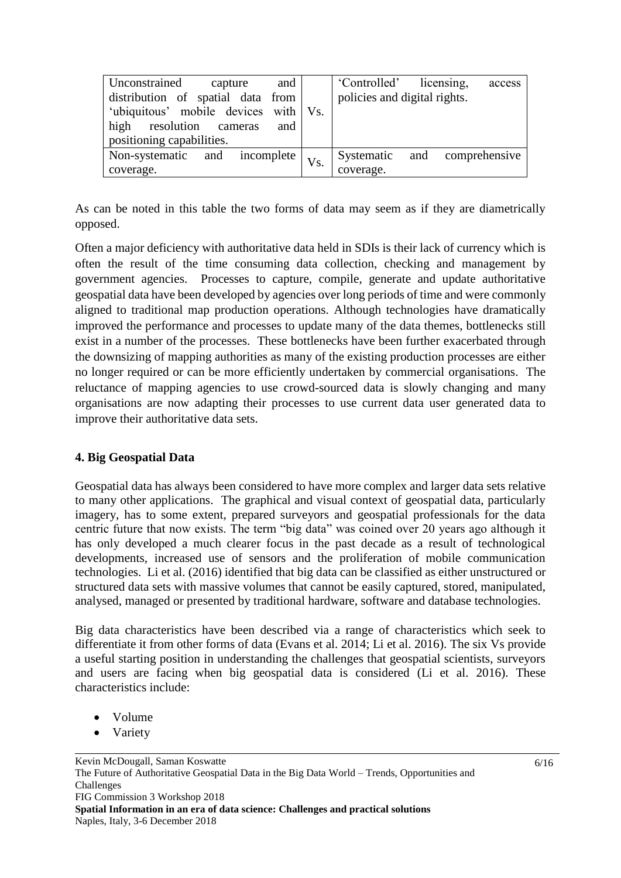| Unconstrained<br>and<br>capture          |  | 'Controlled' licensing,<br>access |
|------------------------------------------|--|-----------------------------------|
| distribution of spatial data from        |  | policies and digital rights.      |
| 'ubiquitous' mobile devices with Vs.     |  |                                   |
| high resolution cameras<br>and           |  |                                   |
| positioning capabilities.                |  |                                   |
| Non-systematic and incomplete $ V_{S}$ . |  | Systematic and comprehensive      |
| coverage.                                |  | coverage.                         |

As can be noted in this table the two forms of data may seem as if they are diametrically opposed.

Often a major deficiency with authoritative data held in SDIs is their lack of currency which is often the result of the time consuming data collection, checking and management by government agencies. Processes to capture, compile, generate and update authoritative geospatial data have been developed by agencies over long periods of time and were commonly aligned to traditional map production operations. Although technologies have dramatically improved the performance and processes to update many of the data themes, bottlenecks still exist in a number of the processes. These bottlenecks have been further exacerbated through the downsizing of mapping authorities as many of the existing production processes are either no longer required or can be more efficiently undertaken by commercial organisations. The reluctance of mapping agencies to use crowd-sourced data is slowly changing and many organisations are now adapting their processes to use current data user generated data to improve their authoritative data sets.

## **4. Big Geospatial Data**

Geospatial data has always been considered to have more complex and larger data sets relative to many other applications. The graphical and visual context of geospatial data, particularly imagery, has to some extent, prepared surveyors and geospatial professionals for the data centric future that now exists. The term "big data" was coined over 20 years ago although it has only developed a much clearer focus in the past decade as a result of technological developments, increased use of sensors and the proliferation of mobile communication technologies. Li et al. (2016) identified that big data can be classified as either unstructured or structured data sets with massive volumes that cannot be easily captured, stored, manipulated, analysed, managed or presented by traditional hardware, software and database technologies.

Big data characteristics have been described via a range of characteristics which seek to differentiate it from other forms of data (Evans et al. 2014; Li et al. 2016). The six Vs provide a useful starting position in understanding the challenges that geospatial scientists, surveyors and users are facing when big geospatial data is considered (Li et al. 2016). These characteristics include:

- Volume
- Variety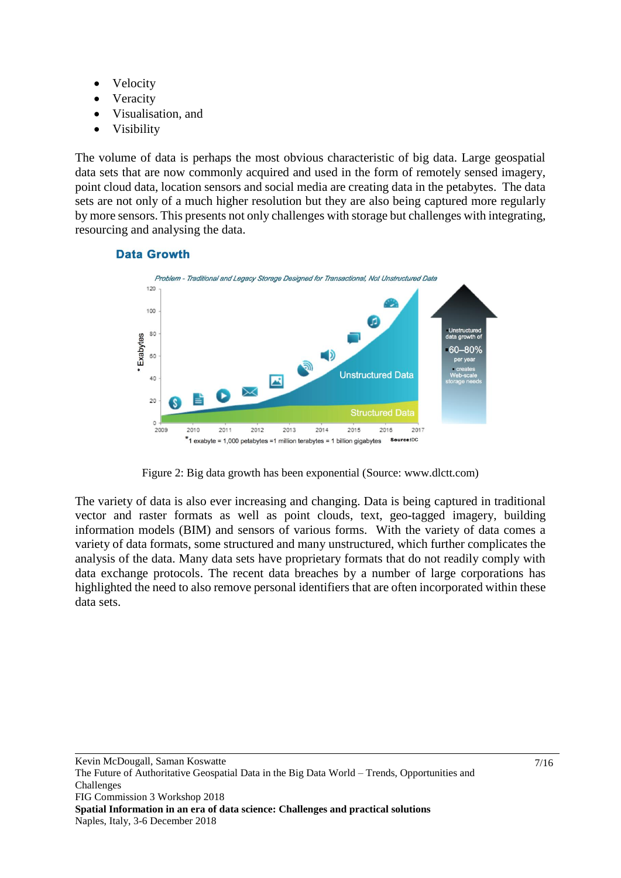- Velocity
- Veracity
- Visualisation, and
- Visibility

The volume of data is perhaps the most obvious characteristic of big data. Large geospatial data sets that are now commonly acquired and used in the form of remotely sensed imagery, point cloud data, location sensors and social media are creating data in the petabytes. The data sets are not only of a much higher resolution but they are also being captured more regularly by more sensors. This presents not only challenges with storage but challenges with integrating, resourcing and analysing the data.



#### **Data Growth**

Figure 2: Big data growth has been exponential (Source: www.dlctt.com)

The variety of data is also ever increasing and changing. Data is being captured in traditional vector and raster formats as well as point clouds, text, geo-tagged imagery, building information models (BIM) and sensors of various forms. With the variety of data comes a variety of data formats, some structured and many unstructured, which further complicates the analysis of the data. Many data sets have proprietary formats that do not readily comply with data exchange protocols. The recent data breaches by a number of large corporations has highlighted the need to also remove personal identifiers that are often incorporated within these data sets.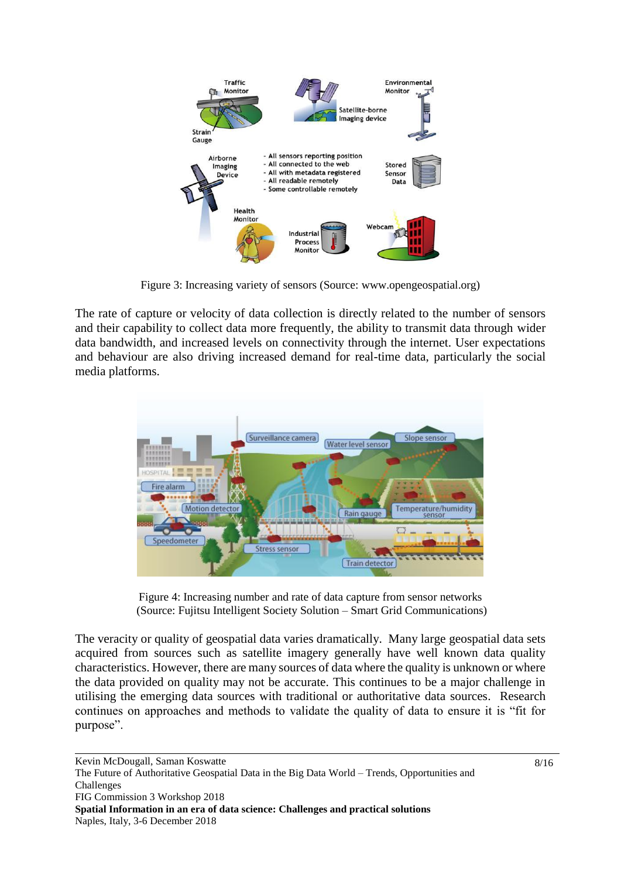

Figure 3: Increasing variety of sensors (Source: [www.opengeospatial.org\)](http://www.opengeospatial.org/)

The rate of capture or velocity of data collection is directly related to the number of sensors and their capability to collect data more frequently, the ability to transmit data through wider data bandwidth, and increased levels on connectivity through the internet. User expectations and behaviour are also driving increased demand for real-time data, particularly the social media platforms.



Figure 4: Increasing number and rate of data capture from sensor networks (Source: Fujitsu Intelligent Society Solution – Smart Grid Communications)

The veracity or quality of geospatial data varies dramatically. Many large geospatial data sets acquired from sources such as satellite imagery generally have well known data quality characteristics. However, there are many sources of data where the quality is unknown or where the data provided on quality may not be accurate. This continues to be a major challenge in utilising the emerging data sources with traditional or authoritative data sources. Research continues on approaches and methods to validate the quality of data to ensure it is "fit for purpose".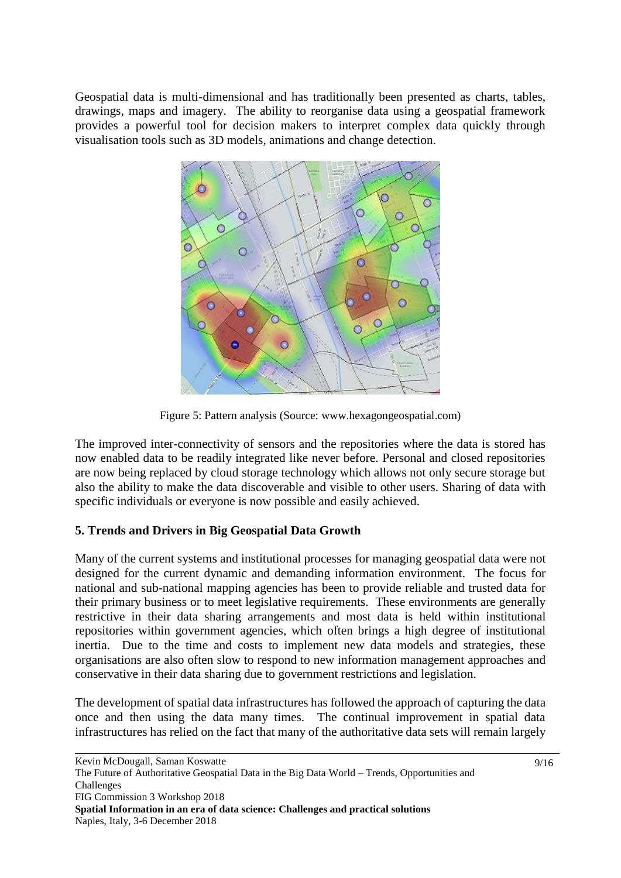Geospatial data is multi-dimensional and has traditionally been presented as charts, tables, drawings, maps and imagery. The ability to reorganise data using a geospatial framework provides a powerful tool for decision makers to interpret complex data quickly through visualisation tools such as 3D models, animations and change detection.



Figure 5: Pattern analysis (Source: www.hexagongeospatial.com)

The improved inter-connectivity of sensors and the repositories where the data is stored has now enabled data to be readily integrated like never before. Personal and closed repositories are now being replaced by cloud storage technology which allows not only secure storage but also the ability to make the data discoverable and visible to other users. Sharing of data with specific individuals or everyone is now possible and easily achieved.

## **5. Trends and Drivers in Big Geospatial Data Growth**

Many of the current systems and institutional processes for managing geospatial data were not designed for the current dynamic and demanding information environment. The focus for national and sub-national mapping agencies has been to provide reliable and trusted data for their primary business or to meet legislative requirements. These environments are generally restrictive in their data sharing arrangements and most data is held within institutional repositories within government agencies, which often brings a high degree of institutional inertia. Due to the time and costs to implement new data models and strategies, these organisations are also often slow to respond to new information management approaches and conservative in their data sharing due to government restrictions and legislation.

The development of spatial data infrastructures has followed the approach of capturing the data once and then using the data many times. The continual improvement in spatial data infrastructures has relied on the fact that many of the authoritative data sets will remain largely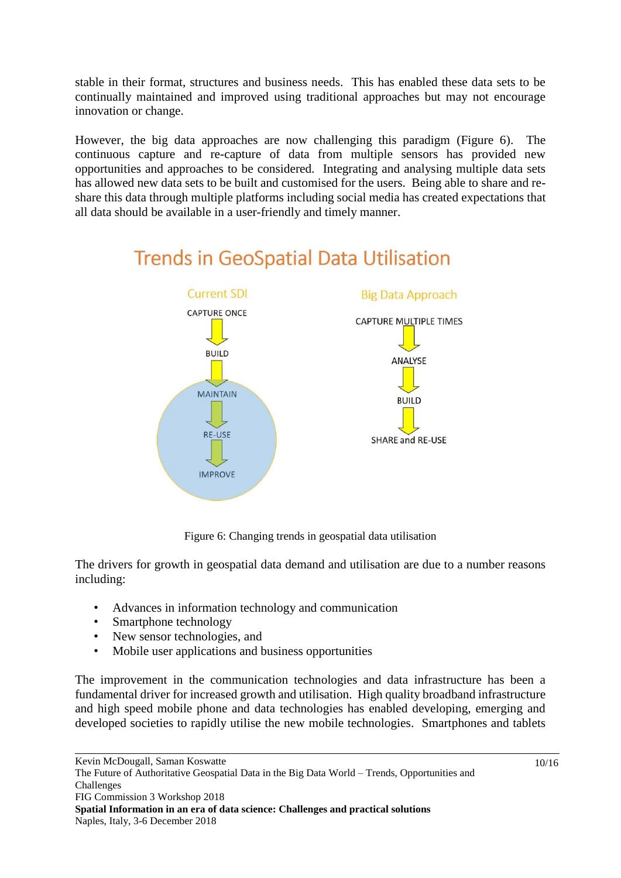stable in their format, structures and business needs. This has enabled these data sets to be continually maintained and improved using traditional approaches but may not encourage innovation or change.

However, the big data approaches are now challenging this paradigm (Figure 6). The continuous capture and re-capture of data from multiple sensors has provided new opportunities and approaches to be considered. Integrating and analysing multiple data sets has allowed new data sets to be built and customised for the users. Being able to share and reshare this data through multiple platforms including social media has created expectations that all data should be available in a user-friendly and timely manner.

## **Current SDI Big Data Approach CAPTURE ONCE CAPTURE MULTIPLE TIMES BUILD ANALYSE MAINTAIN BUILD RE-LISE** SHARE and RE-USE **IMPROVE**

# **Trends in GeoSpatial Data Utilisation**

Figure 6: Changing trends in geospatial data utilisation

The drivers for growth in geospatial data demand and utilisation are due to a number reasons including:

- Advances in information technology and communication
- Smartphone technology
- New sensor technologies, and
- Mobile user applications and business opportunities

The improvement in the communication technologies and data infrastructure has been a fundamental driver for increased growth and utilisation. High quality broadband infrastructure and high speed mobile phone and data technologies has enabled developing, emerging and developed societies to rapidly utilise the new mobile technologies. Smartphones and tablets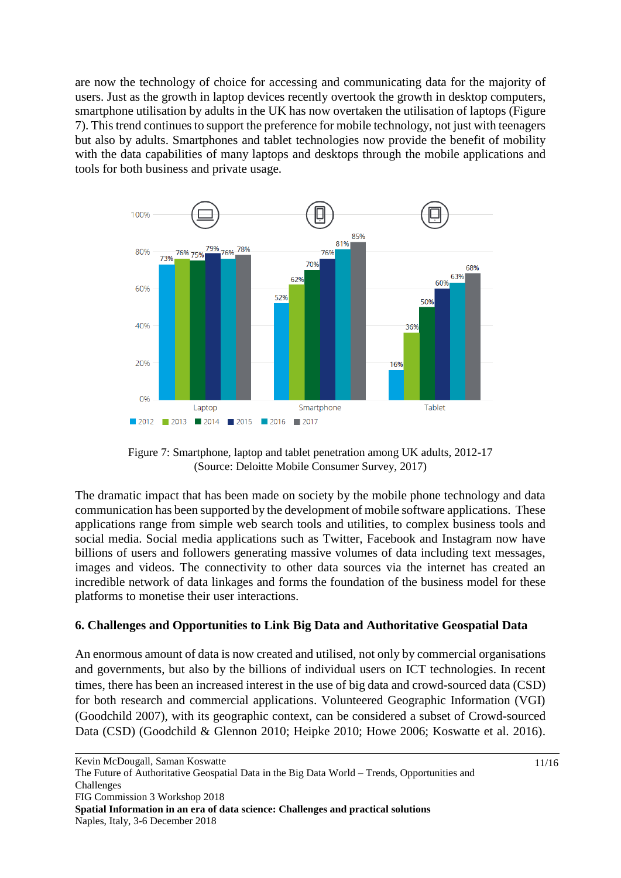are now the technology of choice for accessing and communicating data for the majority of users. Just as the growth in laptop devices recently overtook the growth in desktop computers, smartphone utilisation by adults in the UK has now overtaken the utilisation of laptops (Figure 7). Thistrend continues to support the preference for mobile technology, not just with teenagers but also by adults. Smartphones and tablet technologies now provide the benefit of mobility with the data capabilities of many laptops and desktops through the mobile applications and tools for both business and private usage.



Figure 7: Smartphone, laptop and tablet penetration among UK adults, 2012-17 (Source: Deloitte Mobile Consumer Survey, 2017)

The dramatic impact that has been made on society by the mobile phone technology and data communication has been supported by the development of mobile software applications. These applications range from simple web search tools and utilities, to complex business tools and social media. Social media applications such as Twitter, Facebook and Instagram now have billions of users and followers generating massive volumes of data including text messages, images and videos. The connectivity to other data sources via the internet has created an incredible network of data linkages and forms the foundation of the business model for these platforms to monetise their user interactions.

#### **6. Challenges and Opportunities to Link Big Data and Authoritative Geospatial Data**

An enormous amount of data is now created and utilised, not only by commercial organisations and governments, but also by the billions of individual users on ICT technologies. In recent times, there has been an increased interest in the use of big data and crowd-sourced data (CSD) for both research and commercial applications. Volunteered Geographic Information (VGI) (Goodchild 2007), with its geographic context, can be considered a subset of Crowd-sourced Data (CSD) (Goodchild & Glennon 2010; Heipke 2010; Howe 2006; Koswatte et al. 2016).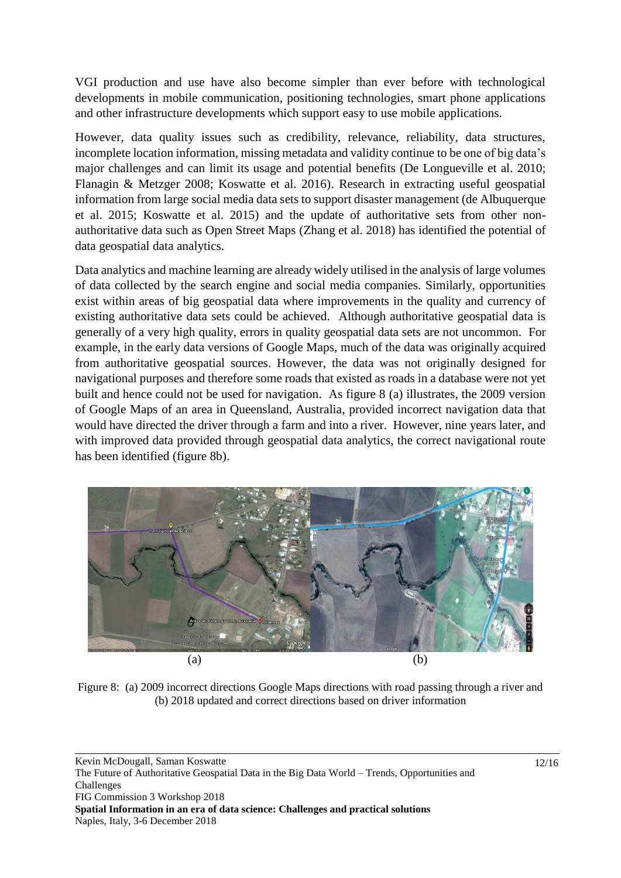VGI production and use have also become simpler than ever before with technological developments in mobile communication, positioning technologies, smart phone applications and other infrastructure developments which support easy to use mobile applications.

However, data quality issues such as credibility, relevance, reliability, data structures, incomplete location information, missing metadata and validity continue to be one of big data's major challenges and can limit its usage and potential benefits (De Longueville et al. 2010; Flanagin & Metzger 2008; Koswatte et al. 2016). Research in extracting useful geospatial information from large social media data sets to support disaster management (de Albuquerque et al. 2015; Koswatte et al. 2015) and the update of authoritative sets from other nonauthoritative data such as Open Street Maps (Zhang et al. 2018) has identified the potential of data geospatial data analytics.

Data analytics and machine learning are already widely utilised in the analysis of large volumes of data collected by the search engine and social media companies. Similarly, opportunities exist within areas of big geospatial data where improvements in the quality and currency of existing authoritative data sets could be achieved. Although authoritative geospatial data is generally of a very high quality, errors in quality geospatial data sets are not uncommon. For example, in the early data versions of Google Maps, much of the data was originally acquired from authoritative geospatial sources. However, the data was not originally designed for navigational purposes and therefore some roads that existed as roads in a database were not yet built and hence could not be used for navigation. As figure 8 (a) illustrates, the 2009 version of Google Maps of an area in Queensland, Australia, provided incorrect navigation data that would have directed the driver through a farm and into a river. However, nine years later, and with improved data provided through geospatial data analytics, the correct navigational route has been identified (figure 8b).



Figure 8: (a) 2009 incorrect directions Google Maps directions with road passing through a river and (b) 2018 updated and correct directions based on driver information

Kevin McDougall, Saman Koswatte The Future of Authoritative Geospatial Data in the Big Data World – Trends, Opportunities and Challenges FIG Commission 3 Workshop 2018 **Spatial Information in an era of data science: Challenges and practical solutions** Naples, Italy, 3-6 December 2018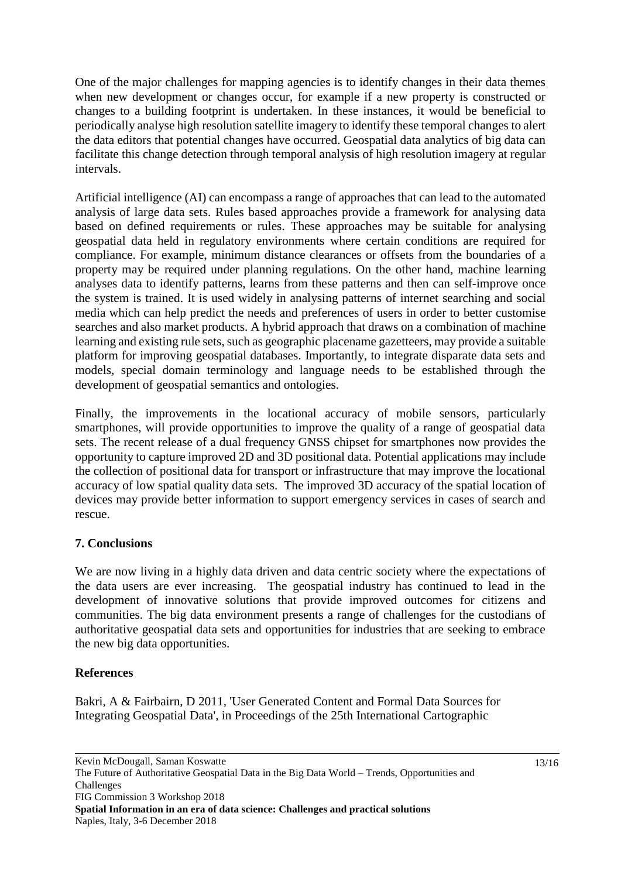One of the major challenges for mapping agencies is to identify changes in their data themes when new development or changes occur, for example if a new property is constructed or changes to a building footprint is undertaken. In these instances, it would be beneficial to periodically analyse high resolution satellite imagery to identify these temporal changes to alert the data editors that potential changes have occurred. Geospatial data analytics of big data can facilitate this change detection through temporal analysis of high resolution imagery at regular intervals.

Artificial intelligence (AI) can encompass a range of approaches that can lead to the automated analysis of large data sets. Rules based approaches provide a framework for analysing data based on defined requirements or rules. These approaches may be suitable for analysing geospatial data held in regulatory environments where certain conditions are required for compliance. For example, minimum distance clearances or offsets from the boundaries of a property may be required under planning regulations. On the other hand, machine learning analyses data to identify patterns, learns from these patterns and then can self-improve once the system is trained. It is used widely in analysing patterns of internet searching and social media which can help predict the needs and preferences of users in order to better customise searches and also market products. A hybrid approach that draws on a combination of machine learning and existing rule sets, such as geographic placename gazetteers, may provide a suitable platform for improving geospatial databases. Importantly, to integrate disparate data sets and models, special domain terminology and language needs to be established through the development of geospatial semantics and ontologies.

Finally, the improvements in the locational accuracy of mobile sensors, particularly smartphones, will provide opportunities to improve the quality of a range of geospatial data sets. The recent release of a dual frequency GNSS chipset for smartphones now provides the opportunity to capture improved 2D and 3D positional data. Potential applications may include the collection of positional data for transport or infrastructure that may improve the locational accuracy of low spatial quality data sets. The improved 3D accuracy of the spatial location of devices may provide better information to support emergency services in cases of search and rescue.

## **7. Conclusions**

We are now living in a highly data driven and data centric society where the expectations of the data users are ever increasing. The geospatial industry has continued to lead in the development of innovative solutions that provide improved outcomes for citizens and communities. The big data environment presents a range of challenges for the custodians of authoritative geospatial data sets and opportunities for industries that are seeking to embrace the new big data opportunities.

## **References**

Bakri, A & Fairbairn, D 2011, 'User Generated Content and Formal Data Sources for Integrating Geospatial Data', in Proceedings of the 25th International Cartographic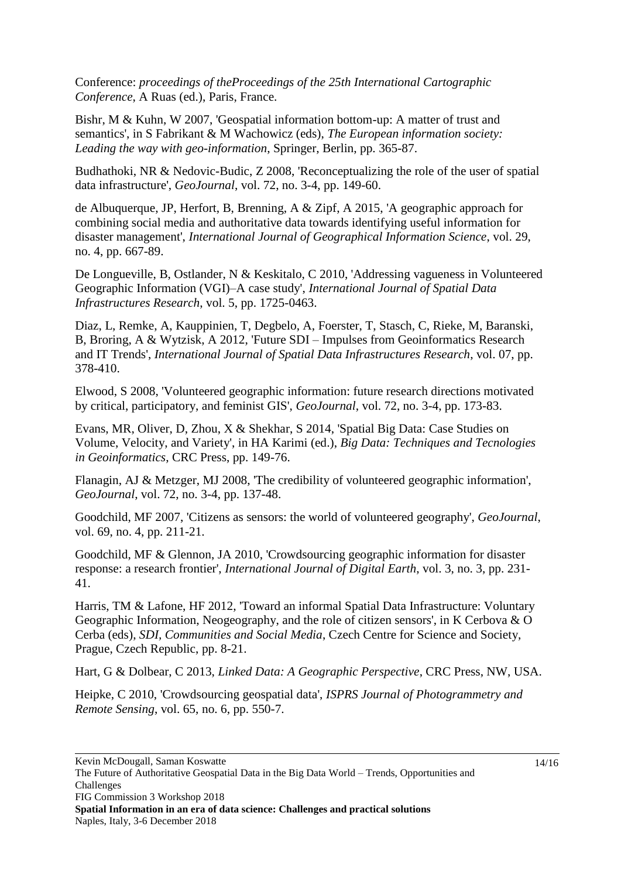Conference: *proceedings of theProceedings of the 25th International Cartographic Conference*, A Ruas (ed.), Paris, France.

Bishr, M & Kuhn, W 2007, 'Geospatial information bottom-up: A matter of trust and semantics', in S Fabrikant & M Wachowicz (eds), *The European information society: Leading the way with geo-information*, Springer, Berlin, pp. 365-87.

Budhathoki, NR & Nedovic-Budic, Z 2008, 'Reconceptualizing the role of the user of spatial data infrastructure', *GeoJournal*, vol. 72, no. 3-4, pp. 149-60.

de Albuquerque, JP, Herfort, B, Brenning, A & Zipf, A 2015, 'A geographic approach for combining social media and authoritative data towards identifying useful information for disaster management', *International Journal of Geographical Information Science*, vol. 29, no. 4, pp. 667-89.

De Longueville, B, Ostlander, N & Keskitalo, C 2010, 'Addressing vagueness in Volunteered Geographic Information (VGI)–A case study', *International Journal of Spatial Data Infrastructures Research*, vol. 5, pp. 1725-0463.

Diaz, L, Remke, A, Kauppinien, T, Degbelo, A, Foerster, T, Stasch, C, Rieke, M, Baranski, B, Broring, A & Wytzisk, A 2012, 'Future SDI – Impulses from Geoinformatics Research and IT Trends', *International Journal of Spatial Data Infrastructures Research*, vol. 07, pp. 378-410.

Elwood, S 2008, 'Volunteered geographic information: future research directions motivated by critical, participatory, and feminist GIS', *GeoJournal*, vol. 72, no. 3-4, pp. 173-83.

Evans, MR, Oliver, D, Zhou, X & Shekhar, S 2014, 'Spatial Big Data: Case Studies on Volume, Velocity, and Variety', in HA Karimi (ed.), *Big Data: Techniques and Tecnologies in Geoinformatics*, CRC Press, pp. 149-76.

Flanagin, AJ & Metzger, MJ 2008, 'The credibility of volunteered geographic information', *GeoJournal*, vol. 72, no. 3-4, pp. 137-48.

Goodchild, MF 2007, 'Citizens as sensors: the world of volunteered geography', *GeoJournal*, vol. 69, no. 4, pp. 211-21.

Goodchild, MF & Glennon, JA 2010, 'Crowdsourcing geographic information for disaster response: a research frontier', *International Journal of Digital Earth*, vol. 3, no. 3, pp. 231- 41.

Harris, TM & Lafone, HF 2012, 'Toward an informal Spatial Data Infrastructure: Voluntary Geographic Information, Neogeography, and the role of citizen sensors', in K Cerbova & O Cerba (eds), *SDI, Communities and Social Media*, Czech Centre for Science and Society, Prague, Czech Republic, pp. 8-21.

Hart, G & Dolbear, C 2013, *Linked Data: A Geographic Perspective*, CRC Press, NW, USA.

Heipke, C 2010, 'Crowdsourcing geospatial data', *ISPRS Journal of Photogrammetry and Remote Sensing*, vol. 65, no. 6, pp. 550-7.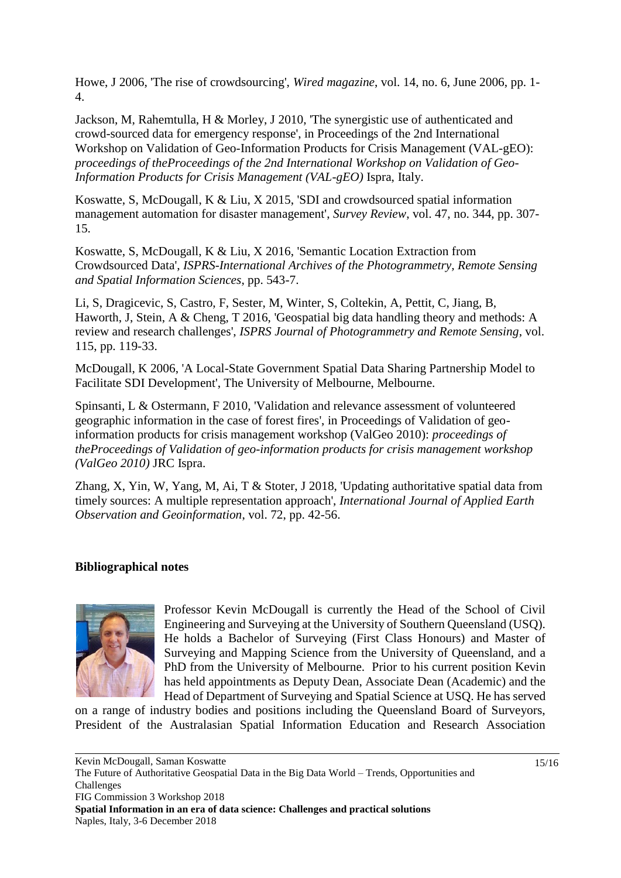Howe, J 2006, 'The rise of crowdsourcing', *Wired magazine*, vol. 14, no. 6, June 2006, pp. 1- 4.

Jackson, M, Rahemtulla, H & Morley, J 2010, 'The synergistic use of authenticated and crowd-sourced data for emergency response', in Proceedings of the 2nd International Workshop on Validation of Geo-Information Products for Crisis Management (VAL-gEO): *proceedings of theProceedings of the 2nd International Workshop on Validation of Geo-Information Products for Crisis Management (VAL-gEO)* Ispra, Italy.

Koswatte, S, McDougall, K & Liu, X 2015, 'SDI and crowdsourced spatial information management automation for disaster management', *Survey Review*, vol. 47, no. 344, pp. 307- 15.

Koswatte, S, McDougall, K & Liu, X 2016, 'Semantic Location Extraction from Crowdsourced Data', *ISPRS-International Archives of the Photogrammetry, Remote Sensing and Spatial Information Sciences*, pp. 543-7.

Li, S, Dragicevic, S, Castro, F, Sester, M, Winter, S, Coltekin, A, Pettit, C, Jiang, B, Haworth, J, Stein, A & Cheng, T 2016, 'Geospatial big data handling theory and methods: A review and research challenges', *ISPRS Journal of Photogrammetry and Remote Sensing*, vol. 115, pp. 119-33.

McDougall, K 2006, 'A Local-State Government Spatial Data Sharing Partnership Model to Facilitate SDI Development', The University of Melbourne, Melbourne.

Spinsanti, L & Ostermann, F 2010, 'Validation and relevance assessment of volunteered geographic information in the case of forest fires', in Proceedings of Validation of geoinformation products for crisis management workshop (ValGeo 2010): *proceedings of theProceedings of Validation of geo-information products for crisis management workshop (ValGeo 2010)* JRC Ispra.

Zhang, X, Yin, W, Yang, M, Ai, T & Stoter, J 2018, 'Updating authoritative spatial data from timely sources: A multiple representation approach', *International Journal of Applied Earth Observation and Geoinformation*, vol. 72, pp. 42-56.

## **Bibliographical notes**



Professor Kevin McDougall is currently the Head of the School of Civil Engineering and Surveying at the University of Southern Queensland (USQ). He holds a Bachelor of Surveying (First Class Honours) and Master of Surveying and Mapping Science from the University of Queensland, and a PhD from the University of Melbourne. Prior to his current position Kevin has held appointments as Deputy Dean, Associate Dean (Academic) and the Head of Department of Surveying and Spatial Science at USQ. He has served

on a range of industry bodies and positions including the Queensland Board of Surveyors, President of the Australasian Spatial Information Education and Research Association